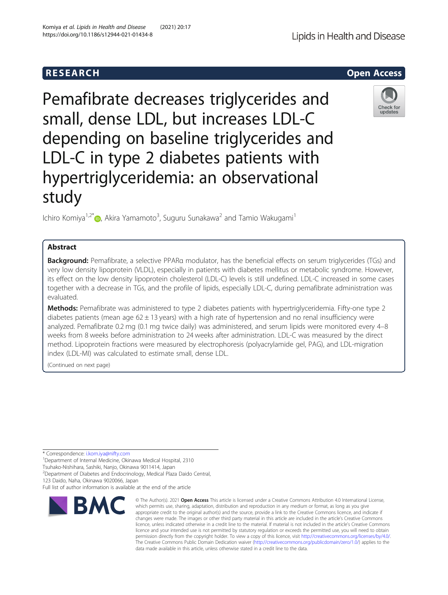Pemafibrate decreases triglycerides and small, dense LDL, but increases LDL-C depending on baseline triglycerides and LDL-C in type 2 diabetes patients with hypertriglyceridemia: an observational study

Ichiro Komiya<sup>1,2[\\*](http://orcid.org/0000-0002-4965-4561)</sup>®, Akira Yamamoto<sup>3</sup>, Suguru Sunakawa<sup>2</sup> and Tamio Wakugami<sup>1</sup>

# Abstract

Background: Pemafibrate, a selective PPARa modulator, has the beneficial effects on serum triglycerides (TGs) and very low density lipoprotein (VLDL), especially in patients with diabetes mellitus or metabolic syndrome. However, its effect on the low density lipoprotein cholesterol (LDL-C) levels is still undefined. LDL-C increased in some cases together with a decrease in TGs, and the profile of lipids, especially LDL-C, during pemafibrate administration was evaluated.

Methods: Pemafibrate was administered to type 2 diabetes patients with hypertriglyceridemia. Fifty-one type 2 diabetes patients (mean age  $62 \pm 13$  years) with a high rate of hypertension and no renal insufficiency were analyzed. Pemafibrate 0.2 mg (0.1 mg twice daily) was administered, and serum lipids were monitored every 4–8 weeks from 8 weeks before administration to 24 weeks after administration. LDL-C was measured by the direct method. Lipoprotein fractions were measured by electrophoresis (polyacrylamide gel, PAG), and LDL-migration index (LDL-MI) was calculated to estimate small, dense LDL.

data made available in this article, unless otherwise stated in a credit line to the data.

© The Author(s), 2021 **Open Access** This article is licensed under a Creative Commons Attribution 4.0 International License, which permits use, sharing, adaptation, distribution and reproduction in any medium or format, as long as you give

(Continued on next page)

\* Correspondence: [i.kom.iya@nifty.com](mailto:i.kom.iya@nifty.com) <sup>1</sup>

<sup>1</sup> Department of Internal Medicine, Okinawa Medical Hospital, 2310

<sup>2</sup> Department of Diabetes and Endocrinology, Medical Plaza Daido Central,

123 Daido, Naha, Okinawa 9020066, Japan

**BMC** 









Tsuhako-Nishihara, Sashiki, Nanjo, Okinawa 9011414, Japan

Full list of author information is available at the end of the article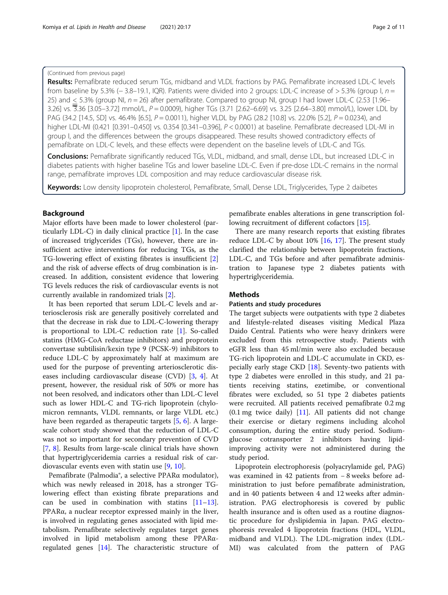# (Continued from previous page)

Results: Pemafibrate reduced serum TGs, midband and VLDL fractions by PAG. Pemafibrate increased LDL-C levels from baseline by 5.3% (− 3.8–19.1, IQR). Patients were divided into 2 groups: LDL-C increase of > 5.3% (group I,  $n =$ 25) and < 5.3% (group NI, n = 26) after pemafibrate. Compared to group NI, group I had lower LDL-C (2.53 [1.96– 3.26] vs. 3.36 [3.05–3.72] mmol/L, P = 0.0009), higher TGs (3.71 [2.62–6.69] vs. 3.25 [2.64–3.80] mmol/L), lower LDL by PAG (34.2 [14.5, SD] vs. 46.4% [6.5], P = 0.0011), higher VLDL by PAG (28.2 [10.8] vs. 22.0% [5.2], P = 0.0234), and higher LDL-MI (0.421 [0.391–0.450] vs. 0.354 [0.341–0.396], P < 0.0001) at baseline. Pemafibrate decreased LDL-MI in group I, and the differences between the groups disappeared. These results showed contradictory effects of pemafibrate on LDL-C levels, and these effects were dependent on the baseline levels of LDL-C and TGs.

Conclusions: Pemafibrate significantly reduced TGs, VLDL, midband, and small, dense LDL, but increased LDL-C in diabetes patients with higher baseline TGs and lower baseline LDL-C. Even if pre-dose LDL-C remains in the normal range, pemafibrate improves LDL composition and may reduce cardiovascular disease risk.

Keywords: Low density lipoprotein cholesterol, Pemafibrate, Small, Dense LDL, Triglycerides, Type 2 daibetes

# Background

Major efforts have been made to lower cholesterol (particularly LDL-C) in daily clinical practice [\[1\]](#page-9-0). In the case of increased triglycerides (TGs), however, there are insufficient active interventions for reducing TGs, as the TG-lowering effect of existing fibrates is insufficient [\[2](#page-9-0)] and the risk of adverse effects of drug combination is increased. In addition, consistent evidence that lowering TG levels reduces the risk of cardiovascular events is not currently available in randomized trials [\[2\]](#page-9-0).

It has been reported that serum LDL-C levels and arteriosclerosis risk are generally positively correlated and that the decrease in risk due to LDL-C-lowering therapy is proportional to LDL-C reduction rate [\[1](#page-9-0)]. So-called statins (HMG-CoA reductase inhibitors) and proprotein convertase subtilisin/kexin type 9 (PCSK-9) inhibitors to reduce LDL-C by approximately half at maximum are used for the purpose of preventing arteriosclerotic diseases including cardiovascular disease (CVD) [\[3](#page-9-0), [4\]](#page-9-0). At present, however, the residual risk of 50% or more has not been resolved, and indicators other than LDL-C level such as lower HDL-C and TG-rich lipoprotein (chylomicron remnants, VLDL remnants, or large VLDL etc.) have been regarded as therapeutic targets [[5,](#page-9-0) [6\]](#page-9-0). A largescale cohort study showed that the reduction of LDL-C was not so important for secondary prevention of CVD [[7,](#page-9-0) [8](#page-9-0)]. Results from large-scale clinical trials have shown that hypertriglyceridemia carries a residual risk of cardiovascular events even with statin use [[9,](#page-9-0) [10\]](#page-9-0).

Pemafibrate (Palmodia®, a selective PPARα modulator), which was newly released in 2018, has a stronger TGlowering effect than existing fibrate preparations and can be used in combination with statins  $[11-13]$  $[11-13]$  $[11-13]$  $[11-13]$  $[11-13]$ . PPARα, a nuclear receptor expressed mainly in the liver, is involved in regulating genes associated with lipid metabolism. Pemafibrate selectively regulates target genes involved in lipid metabolism among these PPARαregulated genes [[14](#page-9-0)]. The characteristic structure of

pemafibrate enables alterations in gene transcription following recruitment of different cofactors [[15](#page-9-0)].

There are many research reports that existing fibrates reduce LDL-C by about 10% [[16,](#page-9-0) [17\]](#page-9-0). The present study clarified the relationship between lipoprotein fractions, LDL-C, and TGs before and after pemafibrate administration to Japanese type 2 diabetes patients with hypertriglyceridemia.

## Methods

# Patients and study procedures

The target subjects were outpatients with type 2 diabetes and lifestyle-related diseases visiting Medical Plaza Daido Central. Patients who were heavy drinkers were excluded from this retrospective study. Patients with eGFR less than 45 ml/min were also excluded because TG-rich lipoprotein and LDL-C accumulate in CKD, especially early stage CKD [[18\]](#page-9-0). Seventy-two patients with type 2 diabetes were enrolled in this study, and 21 patients receiving statins, ezetimibe, or conventional fibrates were excluded, so 51 type 2 diabetes patients were recruited. All patients received pemafibrate 0.2 mg  $(0.1 \text{ mg}$  twice daily)  $[11]$  $[11]$ . All patients did not change their exercise or dietary regimens including alcohol consumption, during the entire study period. Sodiumglucose cotransporter 2 inhibitors having lipidimproving activity were not administered during the study period.

Lipoprotein electrophoresis (polyacrylamide gel, PAG) was examined in 42 patients from − 8 weeks before administration to just before pemafibrate administration, and in 40 patients between 4 and 12 weeks after administration. PAG electrophoresis is covered by public health insurance and is often used as a routine diagnostic procedure for dyslipidemia in Japan. PAG electrophoresis revealed 4 lipoprotein fractions (HDL, VLDL, midband and VLDL). The LDL-migration index (LDL-MI) was calculated from the pattern of PAG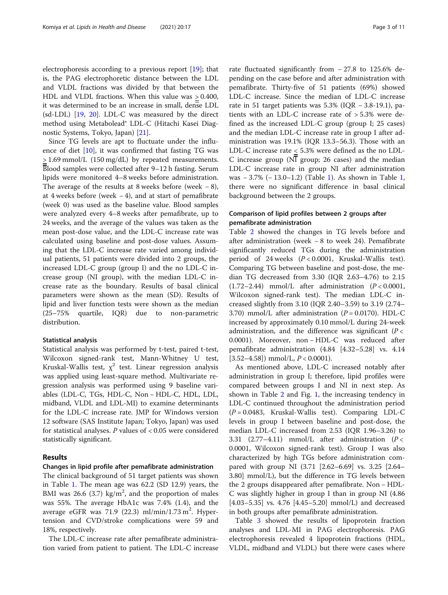electrophoresis according to a previous report [[19\]](#page-9-0); that is, the PAG electrophoretic distance between the LDL and VLDL fractions was divided by that between the HDL and VLDL fractions. When this value was > 0.400, it was determined to be an increase in small, dense LDL (sd-LDL) [[19,](#page-9-0) [20](#page-9-0)]. LDL-C was measured by the direct method using Metabolead® LDL-C (Hitachi Kasei Diagnostic Systems, Tokyo, Japan) [[21\]](#page-9-0).

Since TG levels are apt to fluctuate under the influence of diet [[10](#page-9-0)], it was confirmed that fasting TG was > 1.69 mmol/L (150 mg/dL) by repeated measurements. Blood samples were collected after 9–12 h fasting. Serum lipids were monitored 4–8 weeks before administration. The average of the results at 8 weeks before (week  $-8$ ), at 4 weeks before (week  $-4$ ), and at start of pemafibrate (week 0) was used as the baseline value. Blood samples were analyzed every 4–8 weeks after pemafibrate, up to 24 weeks, and the average of the values was taken as the mean post-dose value, and the LDL-C increase rate was calculated using baseline and post-dose values. Assuming that the LDL-C increase rate varied among individual patients, 51 patients were divided into 2 groups, the increased LDL-C group (group I) and the no LDL-C increase group (NI group), with the median LDL-C increase rate as the boundary. Results of basal clinical parameters were shown as the mean (SD). Results of lipid and liver function tests were shown as the median (25–75% quartile, IQR) due to non-parametric distribution.

# Statistical analysis

Statistical analysis was performed by t-test, paired t-test, Wilcoxon signed-rank test, Mann-Whitney U test, Kruskal-Wallis test,  $\chi^2$  test. Linear regression analysis was applied using least-square method. Multivariate regression analysis was performed using 9 baseline variables (LDL-C, TGs, HDL-C, Non − HDL-C, HDL, LDL, midband, VLDL and LDL-MI) to examine determinants for the LDL-C increase rate. JMP for Windows version 12 software (SAS Institute Japan; Tokyo, Japan) was used for statistical analyses.  $P$  values of  $< 0.05$  were considered statistically significant.

## Results

# Changes in lipid profile after pemafibrate administration

The clinical background of 51 target patients was shown in Table [1](#page-3-0). The mean age was 62.2 (SD 12.9) years, the BMI was 26.6 (3.7)  $\text{kg/m}^2$ , and the proportion of males was 55%. The average HbA1c was 7.4% (1.4), and the average eGFR was  $71.9$  (22.3) ml/min/1.73 m<sup>2</sup>. Hypertension and CVD/stroke complications were 59 and 18%, respectively.

The LDL-C increase rate after pemafibrate administration varied from patient to patient. The LDL-C increase

rate fluctuated significantly from − 27.8 to 125.6% depending on the case before and after administration with pemafibrate. Thirty-five of 51 patients (69%) showed LDL-C increase. Since the median of LDL-C increase rate in 51 target patients was 5.3% (IQR − 3.8-19.1), patients with an LDL-C increase rate of > 5.3% were defined as the increased LDL-C group (group I; 25 cases) and the median LDL-C increase rate in group I after administration was 19.1% (IQR 13.3–56.3). Those with an LDL-C increase rate < 5.3% were defined as the no LDL-C increase group ( $N\overline{I}$  group; 26 cases) and the median LDL-C increase rate in group NI after administration was − 3.7% (− 13.0–1.2) (Table [1](#page-3-0)). As shown in Table [1](#page-3-0), there were no significant difference in basal clinical background between the 2 groups.

# Comparison of lipid profiles between 2 groups after pemafibrate administration

Table [2](#page-4-0) showed the changes in TG levels before and after administration (week − 8 to week 24). Pemafibrate significantly reduced TGs during the administration period of 24 weeks  $(P < 0.0001$ , Kruskal-Wallis test). Comparing TG between baseline and post-dose, the median TG decreased from 3.30 (IQR 2.63–4.76) to 2.15  $(1.72-2.44)$  mmol/L after administration  $(P < 0.0001$ , Wilcoxon signed-rank test). The median LDL-C increased slightly from 3.10 (IQR 2.40–3.59) to 3.19 (2.74– 3.70) mmol/L after administration  $(P = 0.0170)$ . HDL-C increased by approximately 0.10 mmol/L during 24-week administration, and the difference was significant ( $P <$ 0.0001). Moreover, non − HDL-C was reduced after pemafibrate administration (4.84 [4.32–5.28] vs. 4.14  $[3.52-4.58]$ ) mmol/L,  $P < 0.0001$ ).

As mentioned above, LDL-C increased notably after administration in group I; therefore, lipid profiles were compared between groups I and NI in next step. As shown in Table [2](#page-4-0) and Fig. [1](#page-5-0), the increasing tendency in LDL-C continued throughout the administration period  $(P = 0.0483,$  Kruskal-Wallis test). Comparing LDL-C levels in group I between baseline and post-dose, the median LDL-C increased from 2.53 (IQR 1.96–3.26) to 3.31 (2.77–4.11) mmol/L after administration ( $P <$ 0.0001, Wilcoxon signed-rank test). Group I was also characterized by high TGs before administration compared with group NI (3.71 [2.62–6.69] vs. 3.25 [2.64– 3.80] mmol/L), but the difference in TG levels between the 2 groups disappeared after pemafibrate. Non − HDL-C was slightly higher in group I than in group NI (4.86 [4.03–5.35] vs. 4.76 [4.45–5.20] mmol/L) and decreased in both groups after pemafibrate administration.

Table [3](#page-5-0) showed the results of lipoprotein fraction analyses and LDL-MI in PAG electrophoresis. PAG electrophoresis revealed 4 lipoprotein fractions (HDL, VLDL, midband and VLDL) but there were cases where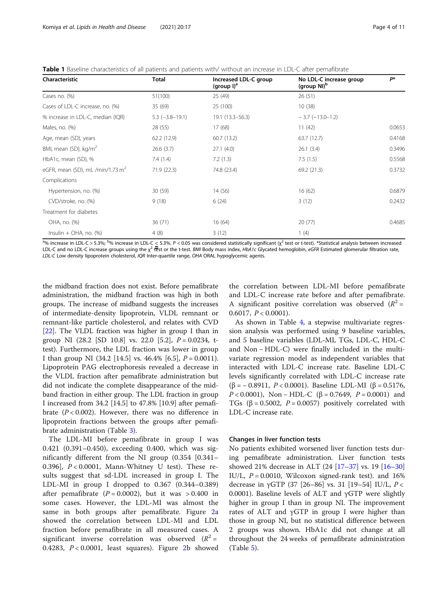<span id="page-3-0"></span>Table 1 Baseline characteristics of all patients and patients with/ without an increase in LDL-C after pemafibrate

| Characteristic                     | Total                 | Increased LDL-C group<br>(group $I)^a$ | No LDL-C increase group<br>(group NI) <sup>b</sup> | P*     |  |
|------------------------------------|-----------------------|----------------------------------------|----------------------------------------------------|--------|--|
| Cases no. (%)                      | 51(100)               | 25 (49)                                | 26(51)                                             |        |  |
| Cases of LDL-C increase, no. (%)   | 35 (69)               | 25 (100)                               | 10(38)                                             |        |  |
| % increase in LDL-C, median (IQR)  | $5.3$ $(-3.8 - 19.1)$ | 19.1 (13.3–56.3)                       | $-3.7$ ( $-13.0$ $-1.2$ )                          |        |  |
| Males, no. (%)                     | 28 (55)               | 17(68)                                 | 11(42)                                             | 0.0653 |  |
| Age, mean (SD), years              | 62.2(12.9)            | 60.7(13.2)                             | 63.7(12.7)                                         | 0.4168 |  |
| BMI, mean (SD), kg/m <sup>2</sup>  | 26.6(3.7)             | 27.1(4.0)                              | 26.1(3.4)                                          | 0.3496 |  |
| HbA1c, mean (SD), %                | 7.4(1.4)              | 7.2(1.3)                               | 7.5(1.5)                                           | 0.5568 |  |
| eGFR, mean (SD), mL /min/1.73 $m2$ | 71.9(22.3)            | 74.8 (23.4)                            | 69.2(21.3)                                         | 0.3732 |  |
| Complications                      |                       |                                        |                                                    |        |  |
| Hypertension, no. (%)              | 30(59)                | 14 (56)                                | 16(62)                                             | 0.6879 |  |
| CVD/stroke, no. (%)                | 9(18)                 | 6(24)                                  | 3(12)                                              | 0.2432 |  |
| Treatment for diabetes             |                       |                                        |                                                    |        |  |
| OHA, no. (%)                       | 36 (71)               | 16(64)                                 | 20(77)                                             | 0.4685 |  |
| $Insulin + OHA$ , no. $(\%)$       | 4(8)                  | 3(12)                                  | 1(4)                                               |        |  |

<sup>ag</sup>6 increase in LDL-C > 5.3%; <sup>bg</sup>6 increase in LDL-C < 5.3%. *P* < 0.05 was considered statistically significant (χ<sup>2</sup> test or t-test). \*Statistical analysis between increased LDL-C and no LDL-C increase groups using the  $\chi^2$  test or the t-test. BMI Body mass index, HbA1c Glycated hemoglobin, eGFR Estimated glomerular filtration rate, LDL-C Low density lipoprotein cholesterol, IQR Inter-quartile range, OHA ORAL hypoglycemic agents.

the midband fraction does not exist. Before pemafibrate administration, the midband fraction was high in both groups. The increase of midband suggests the increases of intermediate-density lipoprotein, VLDL remnant or remnant-like particle cholesterol, and relates with CVD [[22\]](#page-9-0). The VLDL fraction was higher in group I than in group NI (28.2 [SD 10.8] vs. 22.0 [5.2], P = 0.0234, ttest). Furthermore, the LDL fraction was lower in group I than group NI (34.2 [14.5] vs. 46.4% [6.5],  $P = 0.0011$ ). Lipoprotein PAG electrophoresis revealed a decrease in the VLDL fraction after pemafibrate administration but did not indicate the complete disappearance of the midband fraction in either group. The LDL fraction in group I increased from 34.2 [14.5] to 47.8% [10.9] after pemafibrate  $(P < 0.002)$ . However, there was no difference in lipoprotein fractions between the groups after pemafibrate administration (Table [3\)](#page-5-0).

The LDL-MI before pemafibrate in group I was 0.421 (0.391–0.450), exceeding 0.400, which was significantly different from the NI group (0.354 [0.341– 0.396],  $P < 0.0001$ , Mann-Whitney U test). These results suggest that sd-LDL increased in group I. The LDL-MI in group I dropped to 0.367 (0.344–0.389) after pemafibrate  $(P = 0.0002)$ , but it was > 0.400 in some cases. However, the LDL-MI was almost the same in both groups after pemafibrate. Figure [2](#page-6-0)a showed the correlation between LDL-MI and LDL fraction before pemafibrate in all measured cases. A significant inverse correlation was observed  $(R^2 =$ 0.4[2](#page-6-0)83,  $P < 0.0001$ , least squares). Figure 2b showed

the correlation between LDL-MI before pemafibrate and LDL-C increase rate before and after pemafibrate. A significant positive correlation was observed  $(R^2 =$ 0.6017,  $P < 0.0001$ ).

As shown in Table [4](#page-6-0), a stepwise multivariate regression analysis was performed using 9 baseline variables, and 5 baseline variables (LDL-MI, TGs, LDL-C, HDL-C and Non − HDL-C) were finally included in the multivariate regression model as independent variables that interacted with LDL-C increase rate. Baseline LDL-C levels significantly correlated with LDL-C increase rate (β = − 0.8911, P < 0.0001). Baseline LDL-MI (β = 0.5176, P < 0.0001), Non – HDL-C (β = 0.7649, P = 0.0001) and TGs ( $\beta$  = 0.5002, P = 0.0057) positively correlated with LDL-C increase rate.

## Changes in liver function tests

No patients exhibited worsened liver function tests during pemafibrate administration. Liver function tests showed 21% decrease in ALT (24 [\[17](#page-9-0)–[37](#page-10-0)] vs. 19 [[16](#page-9-0)–[30](#page-10-0)] IU/L,  $P = 0.0010$ , Wilcoxon signed-rank test). and 16% decrease in γGTP (37 [26–86] vs. 31 [19–54] IU/L,  $P <$ 0.0001). Baseline levels of ALT and γGTP were slightly higher in group I than in group NI. The improvement rates of ALT and γGTP in group I were higher than those in group NI, but no statistical difference between 2 groups was shown. HbA1c did not change at all throughout the 24 weeks of pemafibrate administration (Table [5\)](#page-7-0).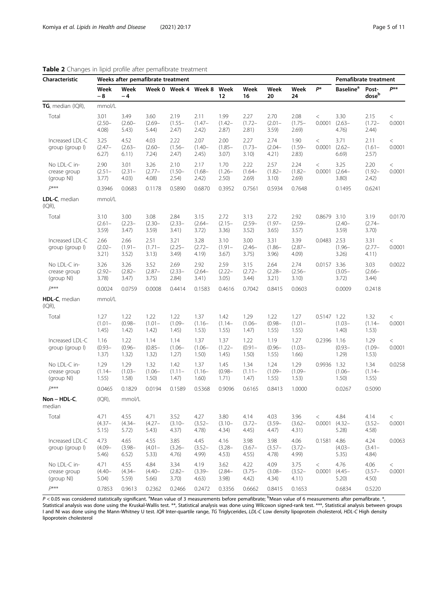| Characteristic                             |                            | Weeks after pemafibrate treatment | Pemafibrate treatment      |                            |                            |                            |                            |                            |                            |                   |                              |                                       |                   |
|--------------------------------------------|----------------------------|-----------------------------------|----------------------------|----------------------------|----------------------------|----------------------------|----------------------------|----------------------------|----------------------------|-------------------|------------------------------|---------------------------------------|-------------------|
|                                            | Week<br>$-8$               | Week<br>$-4$                      |                            | Week 0 Week 4 Week 8 Week  |                            | 12                         | Week<br>16                 | Week<br>20                 | Week<br>24                 | P*                | <b>Baseline</b> <sup>a</sup> | Post-<br>$\mathsf{dose}^{\mathsf{b}}$ | $P^{**}$          |
| $TG$ , median (IQR),                       | mmol/L                     |                                   |                            |                            |                            |                            |                            |                            |                            |                   |                              |                                       |                   |
| Total                                      | 3.01<br>$(2.50 -$<br>4.08) | 3.49<br>$(2.60 -$<br>5.43)        | 3.60<br>$(2.69 -$<br>5.44) | 2.19<br>$(1.55 -$<br>2.47) | 2.11<br>$(1.47 -$<br>2.42) | 1.99<br>$(1.42 -$<br>2.87) | 2.27<br>$(1.72 -$<br>2.81) | 2.70<br>$(2.01 -$<br>3.59  | 2.08<br>$(1.75 -$<br>2.69) | $\,<\,$<br>0.0001 | 3.30<br>$(2.63 -$<br>4.76)   | 2.15<br>$(1.72 -$<br>2.44)            | $\,<\,$<br>0.0001 |
| Increased LDL-C<br>group (group I)         | 3.25<br>$(2.47 -$<br>6.27) | 4.52<br>$(2.63 -$<br>6.11)        | 4.03<br>$(2.60 -$<br>7.24) | 2.22<br>$(1.56 -$<br>2.47) | 2.07<br>$(1.40 -$<br>2.45) | 2.00<br>$(1.85 -$<br>3.07) | 2.27<br>$(1.73 -$<br>3.10) | 2.74<br>$(2.04 -$<br>4.21) | 1.90<br>$(1.59 -$<br>2.83) | $\,<$<br>0.0001   | 3.71<br>$(2.62 -$<br>6.69)   | 2.11<br>$(1.61 -$<br>2.57)            | $\,<$<br>0.0001   |
| No LDL-C in-<br>crease group<br>(group NI) | 2.90<br>$(2.51 -$<br>3.77) | 3.01<br>$(2.31 -$<br>4.03)        | 3.26<br>$(2.77 -$<br>4.08) | 2.10<br>$(1.50 -$<br>2.54) | 2.17<br>$(1.68 -$<br>2.42) | 1.70<br>$(1.26 -$<br>2.50) | 2.22<br>$(1.64 -$<br>2.69) | 2.57<br>$(1.82 -$<br>3.10) | 2.24<br>$(1.82 -$<br>2.69) | $\,<$<br>0.0001   | 3.25<br>$(2.64 -$<br>3.80)   | 2.20<br>$(1.92 -$<br>2.42)            | $\,<$<br>0.0001   |
| $D***$                                     | 0.3946                     | 0.0683                            | 0.1178                     | 0.5890                     | 0.6870                     | 0.3952                     | 0.7561                     | 0.5934                     | 0.7648                     |                   | 0.1495                       | 0.6241                                |                   |
| LDL-C, median<br>(IQR),                    | mmol/L                     |                                   |                            |                            |                            |                            |                            |                            |                            |                   |                              |                                       |                   |
| Total                                      | 3.10<br>$(2.61 -$<br>3.59) | 3.00<br>$(2.23 -$<br>3.47)        | 3.08<br>$(2.30 -$<br>3.59  | 2.84<br>$(2.33 -$<br>3.41) | 3.15<br>$(2.64 -$<br>3.72) | 2.72<br>$(2.15 -$<br>3.36) | 3.13<br>$(2.59 -$<br>3.52) | 2.72<br>$(1.97 -$<br>3.65) | 2.92<br>$(2.59 -$<br>3.57) | 0.8679 3.10       | $(2.40 -$<br>3.59            | 3.19<br>$(2.74 -$<br>$3.70$ )         | 0.0170            |
| Increased LDL-C<br>group (group I)         | 2.66<br>$(2.02 -$<br>3.21) | 2.66<br>$(1.91 -$<br>3.52)        | 2.51<br>$(1.71 -$<br>3.13) | 3.21<br>$(2.25 -$<br>3.49) | 3.28<br>$(2.72 -$<br>4.19) | 3.10<br>$(1.91 -$<br>3.67) | 3.00<br>$(2.46 -$<br>3.75) | 3.31<br>$(1.86 -$<br>3.96) | 3.39<br>$(2.87 -$<br>4.09) | 0.0483 2.53       | $(1.96 -$<br>3.26)           | 3.31<br>$(2.77 -$<br>4.11)            | $\,<$<br>0.0001   |
| No LDL-C in-<br>crease group<br>(group NI) | 3.26<br>$(2.92 -$<br>3.78) | 3.26<br>$(2.82 -$<br>3.47)        | 3.52<br>$(2.87 -$<br>3.75) | 2.69<br>$(2.33 -$<br>2.84) | 2.92<br>$(2.64 -$<br>3.41) | 2.59<br>$(2.22 -$<br>3.05) | 3.15<br>$(2.72 -$<br>3.44) | 2.64<br>$(2.28 -$<br>3.21) | 2.74<br>$(2.56 -$<br>3.10) | 0.0157 3.36       | $(3.05 -$<br>3.72)           | 3.03<br>$(2.66 -$<br>3.44)            | 0.0022            |
| $D$ ***                                    | 0.0024                     | 0.0759                            | 0.0008                     | 0.4414                     | 0.1583                     | 0.4616                     | 0.7042                     | 0.8415                     | 0.0603                     |                   | 0.0009                       | 0.2418                                |                   |
| HDL-C, median<br>(IQR),                    | mmol/L                     |                                   |                            |                            |                            |                            |                            |                            |                            |                   |                              |                                       |                   |
| Total                                      | 1.27<br>$(1.01 -$<br>1.45) | 1.22<br>$(0.98 -$<br>1.42)        | 1.22<br>$(1.01 -$<br>1.42) | 1.22<br>$(1.09 -$<br>1.45) | 1.37<br>$(1.16 -$<br>1.53) | 1.42<br>$(1.14 -$<br>1.55) | 1.29<br>$(1.06 -$<br>1.47) | 1.22<br>$(0.98 -$<br>1.55) | 1.27<br>$(1.01 -$<br>1.55) | 0.5147 1.22       | $(1.03 -$<br>1.40)           | 1.32<br>$(1.14 -$<br>1.53)            | $\,<\,$<br>0.0001 |
| Increased LDL-C<br>group (group I)         | 1.16<br>$(0.93 -$<br>1.37) | 1.22<br>$(0.96 -$<br>1.32)        | 1.14<br>$(0.85 -$<br>1.32) | 1.14<br>$(1.06 -$<br>1.27) | 1.37<br>$(1.06 -$<br>1.50) | 1.37<br>$(1.22 -$<br>1.45) | 1.22<br>$(0.91 -$<br>1.50) | 1.19<br>$(0.96 -$<br>1.55) | 1.27<br>$(1.03 -$<br>1.66) | 0.2396 1.16       | $(0.93 -$<br>1.29)           | 1.29<br>$(1.09 -$<br>1.53)            | $\,<\,$<br>0.0001 |
| No LDL-C in-<br>crease group<br>(group NI) | 1.29<br>$(1.14 -$<br>1.55) | 1.29<br>$(1.03 -$<br>1.58)        | 1.32<br>$(1.06 -$<br>1.50) | 1.42<br>$(1.11 -$<br>1.47) | 1.37<br>$(1.16 -$<br>1.60) | 1.45<br>$(0.98 -$<br>1.71) | 1.34<br>$(1.11 -$<br>1.47) | 1.24<br>$(1.09 -$<br>1.55) | 1.29<br>$(1.09 -$<br>1.53) | 0.9936 1.32       | $(1.06 -$<br>1.50)           | 1.34<br>$(1.14 -$<br>1.55)            | 0.0258            |
| $D***$                                     | 0.0465                     | 0.1829                            | 0.0194                     | 0.1589                     | 0.5368                     | 0.9096                     | 0.6165                     | 0.8413                     | 1.0000                     |                   | 0.0267                       | 0.5090                                |                   |
| $Non-HDL-C$<br>median                      | $I(QR)$ ,                  | mmol/L                            |                            |                            |                            |                            |                            |                            |                            |                   |                              |                                       |                   |
| Total                                      | 4.71<br>$(4.37 -$<br>5.15) | 4.55<br>$(4.34 -$<br>5.72)        | 4.71<br>$(4.27 -$<br>5.43) | 3.52<br>$(3.10 -$<br>4.37) | 4.27<br>$(3.52 -$<br>4.78) | 3.80<br>$(3.10 -$<br>4.34) | 4.14<br>$(3.72 -$<br>4.45) | 4.03<br>$(3.59 -$<br>4.47) | 3.96<br>$(3.62 -$<br>4.31) | $\,<\,$<br>0.0001 | 4.84<br>$(4.32 -$<br>5.28    | 4.14<br>$(3.52 -$<br>4.58             | $\,<$<br>0.0001   |
| Increased LDL-C<br>group (group I)         | 4.73<br>$(4.09 -$<br>5.46) | 4.65<br>$(3.98 -$<br>6.52)        | 4.55<br>$(4.01 -$<br>5.33) | 3.85<br>$(3.26 -$<br>4.76) | 4.45<br>$(3.52 -$<br>4.99) | 4.16<br>$(3.28 -$<br>4.53) | 3.98<br>$(3.67 -$<br>4.55) | 3.98<br>$(3.57 -$<br>4.78) | 4.06<br>$(3.72 -$<br>4.99) | 0.1581 4.86       | $(4.03 -$<br>5.35)           | 4.24<br>$(3.41 -$<br>4.84)            | 0.0063            |
| No LDL-C in-<br>crease group<br>(group NI) | 4.71<br>$(4.40 -$<br>5.04) | 4.55<br>$(4.34 -$<br>5.59)        | 4.84<br>$(4.40 -$<br>5.66) | 3.34<br>$(2.82 -$<br>3.70) | 4.19<br>$(3.39 -$<br>4.63) | 3.62<br>$(2.84 -$<br>3.98) | 4.22<br>$(3.75 -$<br>4.42) | 4.09<br>$(3.08 -$<br>4.34) | 3.75<br>$(3.52 -$<br>4.11) | $\,<$<br>0.0001   | 4.76<br>$(4.45 -$<br>5.20)   | 4.06<br>$(3.57 -$<br>4.50)            | $\,<$<br>0.0001   |
| $D***$                                     | 0.7853                     | 0.9613                            | 0.2362                     | 0.2466                     | 0.2472                     | 0.3356                     | 0.6662                     | 0.8415                     | 0.1653                     |                   | 0.6834                       | 0.5220                                |                   |

# <span id="page-4-0"></span>Table 2 Changes in lipid profile after pemafibrate treatment

P < 0.05 was considered statistically significant. <sup>a</sup>Mean value of 3 measurements before pemafibrate; <sup>b</sup>Mean value of 6 measurements after pemafibrate. \*, Statistical analysis was done using the Kruskal-Wallis test. \*\*, Statistical analysis was done using Wilcoxon signed-rank test. \*\*\*, Statistical analysis between groups I and NI was done using the Mann-Whitney U test. IQR Inter-quartile range, TG Triglycerides, LDL-C Low density lipoprotein cholesterol, HDL-C High density lipoprotein cholesterol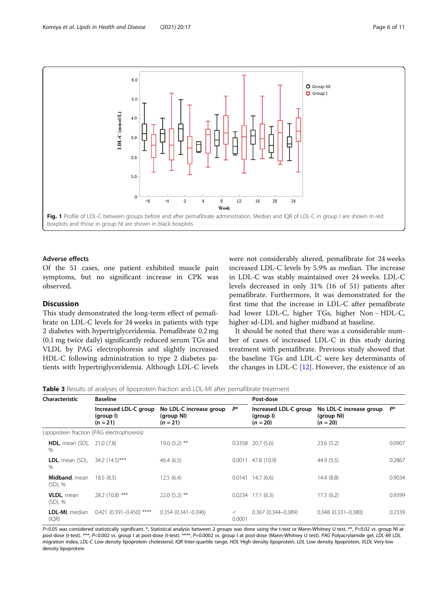<span id="page-5-0"></span>

# Adverse effects

Of the 51 cases, one patient exhibited muscle pain symptoms, but no significant increase in CPK was observed.

# Discussion

This study demonstrated the long-term effect of pemafibrate on LDL-C levels for 24 weeks in patients with type 2 diabetes with hypertriglyceridemia. Pemafibrate 0.2 mg (0.1 mg twice daily) significantly reduced serum TGs and VLDL by PAG electrophoresis and slightly increased HDL-C following administration to type 2 diabetes patients with hypertriglyceridemia. Although LDL-C levels were not considerably altered, pemafibrate for 24 weeks increased LDL-C levels by 5.9% as median. The increase in LDL-C was stably maintained over 24 weeks. LDL-C levels decreased in only 31% (16 of 51) patients after pemafibrate. Furthermore, It was demonstrated for the first time that the increase in LDL-C after pemafibrate had lower LDL-C, higher TGs, higher Non − HDL-C, higher sd-LDL and higher midband at baseline.

It should be noted that there was a considerable number of cases of increased LDL-C in this study during treatment with pemafibrate. Previous study showed that the baseline TGs and LDL-C were key determinants of the changes in LDL-C  $[12]$  $[12]$  $[12]$ . However, the existence of an

Table 3 Results of analyses of lipoprotein fraction and LDL-MI after pemafibrate treatment

| Characteristic                               | <b>Baseline</b>                                  |                                                     | Post-dose         |                                                  |                                                     |        |  |  |  |  |
|----------------------------------------------|--------------------------------------------------|-----------------------------------------------------|-------------------|--------------------------------------------------|-----------------------------------------------------|--------|--|--|--|--|
|                                              | Increased LDL-C group<br>(group I)<br>$(n = 21)$ | No LDL-C increase group<br>(group NI)<br>$(n = 21)$ | P*                | Increased LDL-C group<br>(group I)<br>$(n = 20)$ | No LDL-C increase group<br>(group NI)<br>$(n = 20)$ | P*     |  |  |  |  |
|                                              | Lipoprotein fraction (PAG electrophoresis)       |                                                     |                   |                                                  |                                                     |        |  |  |  |  |
| <b>HDL</b> , mean (SD), $21.0$ (7.8)<br>$\%$ |                                                  | 19.0 (5.2) **                                       |                   | $0.3358$ 20.7 (5.6)                              | 23.6(5.2)                                           | 0.0907 |  |  |  |  |
| <b>LDL</b> , mean $(SD)$ ,<br>%              | 34.2 (14.5)***                                   | 46.4(6.5)                                           |                   | $0.0011$ 47.8 (10.9)                             | 44.9(5.5)                                           | 0.2867 |  |  |  |  |
| Midband, mean<br>$(SD)$ , %                  | 18.5(8.5)                                        | 12.5(6.4)                                           |                   | $0.0141$ 14.7 (6.6)                              | 14.4(8.8)                                           | 0.9034 |  |  |  |  |
| <b>VLDL</b> , mean<br>$(SD)$ , %             | 28.2 (10.8) ***                                  | $22.0(5.2)$ **                                      |                   | $0.0234$ 17.1 (6.3)                              | 17.3(6.2)                                           | 0.9399 |  |  |  |  |
| LDL-MI, median<br>(IQR)                      | $0.421$ (0.391-0.450) ****                       | $0.354(0.341 - 0.396)$                              | $\,<\,$<br>0.0001 | $0.367(0.344 - 0.389)$                           | $0.348(0.331 - 0.380)$                              | 0.2339 |  |  |  |  |

P<0.05 was considered statistically significant. \*, Statistical analysis between 2 groups was done using the t-test or Mann-Whitney U test. \*\*, P<0.02 vs. group NI at post-dose (t-test). \*\*\*, P<0.002 vs. group I at post-dose (t-test). \*\*\*\*, P=0.0002 vs. group I at post-dose (Mann-Whitney U test). PAG Polyacrylamide gel, LDL-MI LDL migration index, LDL-C Low density lipoprotein cholesterol, IQR Inter-quartile range, HDL High density lipoprotein, LDL Low density lipoprotein, VLDL Very-low density lipoprotein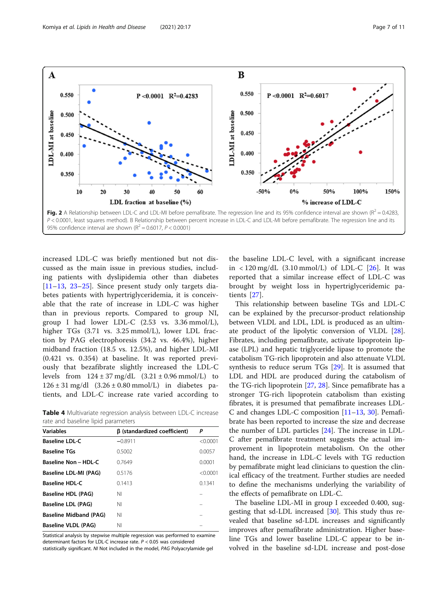<span id="page-6-0"></span>

increased LDL-C was briefly mentioned but not discussed as the main issue in previous studies, including patients with dyslipidemia other than diabetes [[11](#page-9-0)–[13,](#page-9-0) [23](#page-10-0)–[25](#page-10-0)]. Since present study only targets diabetes patients with hypertriglyceridemia, it is conceivable that the rate of increase in LDL-C was higher than in previous reports. Compared to group NI, group I had lower LDL-C (2.53 vs. 3.36 mmol/L), higher TGs (3.71 vs. 3.25 mmol/L), lower LDL fraction by PAG electrophoresis (34.2 vs. 46.4%), higher midband fraction (18.5 vs. 12.5%), and higher LDL-MI (0.421 vs. 0.354) at baseline. It was reported previously that bezafibrate slightly increased the LDL-C levels from  $124 \pm 37$  mg/dL  $(3.21 \pm 0.96$  mmol/L) to  $126 \pm 31$  mg/dl  $(3.26 \pm 0.80$  mmol/L) in diabetes patients, and LDL-C increase rate varied according to

Table 4 Multivariate regression analysis between LDL-C increase rate and baseline lipid parameters

| <b>Variables</b>              | β (standardized coefficient) | P        |
|-------------------------------|------------------------------|----------|
| <b>Baseline LDL-C</b>         | $-0.8911$                    | < 0.0001 |
| <b>Baseline TGs</b>           | 0.5002                       | 0.0057   |
| <b>Baseline Non-HDL-C</b>     | 0.7649                       | 0.0001   |
| Baseline LDL-MI (PAG)         | 0.5176                       | < 0.0001 |
| <b>Baseline HDL-C</b>         | 0.1413                       | 0.1341   |
| Baseline HDL (PAG)            | ΝI                           |          |
| <b>Baseline LDL (PAG)</b>     | ΝI                           |          |
| <b>Baseline Midband (PAG)</b> | ΝI                           |          |
| Baseline VLDL (PAG)           | NI                           |          |

Statistical analysis by stepwise multiple regression was performed to examine determinant factors for LDL-C increase rate. P < 0.05 was considered statistically significant. NI Not included in the model, PAG Polyacrylamide gel

the baseline LDL-C level, with a significant increase in  $\langle 120 \text{ mg/dL} (3.10 \text{ mmol/L})$  of LDL-C [[26\]](#page-10-0). It was reported that a similar increase effect of LDL-C was brought by weight loss in hypertriglyceridemic patients [[27\]](#page-10-0).

This relationship between baseline TGs and LDL-C can be explained by the precursor-product relationship between VLDL and LDL, LDL is produced as an ultimate product of the lipolytic conversion of VLDL [\[28](#page-10-0)]. Fibrates, including pemafibrate, activate lipoprotein lipase (LPL) and hepatic triglyceride lipase to promote the catabolism TG-rich lipoprotein and also attenuate VLDL synthesis to reduce serum TGs [\[29](#page-10-0)]. It is assumed that LDL and HDL are produced during the catabolism of the TG-rich lipoprotein [\[27](#page-10-0), [28](#page-10-0)]. Since pemafibrate has a stronger TG-rich lipoprotein catabolism than existing fibrates, it is presumed that pemafibrate increases LDL-C and changes LDL-C composition [[11](#page-9-0)–[13](#page-9-0), [30](#page-10-0)]. Pemafibrate has been reported to increase the size and decrease the number of LDL particles [[24](#page-10-0)]. The increase in LDL-C after pemafibrate treatment suggests the actual improvement in lipoprotein metabolism. On the other hand, the increase in LDL-C levels with TG reduction by pemafibrate might lead clinicians to question the clinical efficacy of the treatment. Further studies are needed to define the mechanisms underlying the variability of the effects of pemafibrate on LDL-C.

The baseline LDL-MI in group I exceeded 0.400, suggesting that sd-LDL increased [[30\]](#page-10-0). This study thus revealed that baseline sd-LDL increases and significantly improves after pemafibrate administration. Higher baseline TGs and lower baseline LDL-C appear to be involved in the baseline sd-LDL increase and post-dose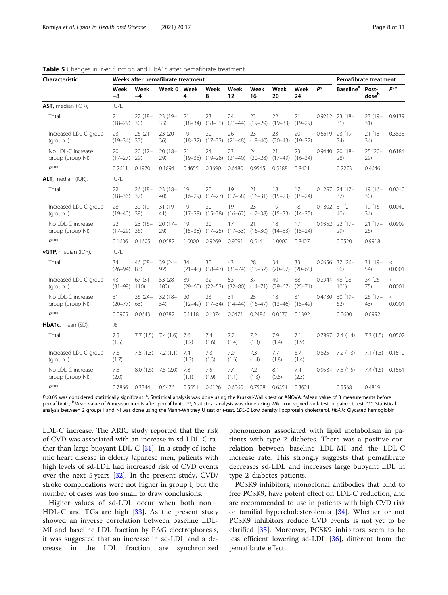| Characteristic                        | Weeks after pemafibrate treatment |                   |                   |                   |                   |                   |                   |                   |                   |        | Pemafibrate treatment        |                            |                   |
|---------------------------------------|-----------------------------------|-------------------|-------------------|-------------------|-------------------|-------------------|-------------------|-------------------|-------------------|--------|------------------------------|----------------------------|-------------------|
|                                       | Week<br>-8                        | Week<br>$-4$      | Week 0 Week       | 4                 | Week<br>8         | Week<br>12        | Week<br>16        | Week<br>20        | Week<br>24        | P*     | <b>Baseline</b> <sup>a</sup> | Post-<br>dose <sup>b</sup> | p**               |
| AST, median (IQR),                    | IUI/L                             |                   |                   |                   |                   |                   |                   |                   |                   |        |                              |                            |                   |
| Total                                 | 21<br>$(18-29)$ 30)               | $22(18 -$         | $23(19-$<br>33)   | 21<br>$(18 - 34)$ | 23<br>$(18 - 31)$ | 24<br>$(21 - 44)$ | 23<br>$(19 - 29)$ | 22<br>$(19 - 33)$ | 21<br>$(19 - 29)$ |        | $0.9212$ 23 (18-<br>31)      | 23 (19-<br>31)             | 0.9139            |
| Increased LDL-C group<br>(group I)    | 23<br>$(19 - 34)$                 | $26(21 -$<br>33)  | $23(20 -$<br>36)  | 19<br>$(18 - 32)$ | 20<br>$(17 - 33)$ | 26<br>$(21 - 48)$ | 23<br>$(18 - 40)$ | 23<br>$(20 - 43)$ | 20<br>$(19 - 22)$ | 0.6619 | 23 (19-<br>34)               | $21(18 -$<br>34)           | 0.3833            |
| No LDL-C increase<br>group (group NI) | 20<br>$(17-27)$                   | $20(17 -$<br>29)  | $20(18 -$<br>29)  | 21<br>$(19 - 35)$ | 24<br>$(19 - 28)$ | 23<br>$(21 - 40)$ | 24<br>$(20-28)$   | 21<br>$(17-49)$   | 23<br>$(16 - 34)$ | 0.9440 | $20(18 -$<br>28)             | $25(20 -$<br>29)           | 0.6184            |
| $D***$                                | 0.2611                            | 0.1970            | 0.1894            | 0.4655            | 0.3690            | 0.6480            | 0.9545            | 0.5388            | 0.8421            |        | 0.2273                       | 0.4646                     |                   |
| ALT, median (IQR),                    | IUI/L                             |                   |                   |                   |                   |                   |                   |                   |                   |        |                              |                            |                   |
| Total                                 | 22<br>$(18 - 36)$                 | $26(18 -$<br>37)  | $23(18 -$<br>40)  | 19<br>$(16 - 29)$ | 20<br>$(17-27)$   | 19<br>$(17 - 58)$ | 21<br>$(16 - 31)$ | 18<br>$(15 - 23)$ | 17<br>$(15 - 24)$ | 0.1297 | $24(17 -$<br>37)             | $19(16 -$<br>30)           | 0.0010            |
| Increased LDL-C group<br>(group I)    | 28<br>$(19 - 40)$                 | 30 (19-<br>39)    | $31(19 -$<br>41)  | 19<br>$(17 - 28)$ | 20<br>$(15 - 38)$ | 19<br>$(16 - 62)$ | 23<br>$(17 - 38)$ | 19<br>$(15 - 33)$ | 18<br>$(14 - 25)$ | 0.1802 | $31(21 -$<br>40)             | $19(16 -$<br>34)           | 0.0040            |
| No LDL-C increase<br>group (group NI) | 22<br>$(17-29)$                   | $23(16-$<br>36)   | $20(17 -$<br>29)  | 19<br>$(15 - 38)$ | 20<br>$(17-25)$   | 17<br>$(17 - 53)$ | 21<br>$(16 - 30)$ | 18<br>$(14 - 53)$ | 17<br>$(15 - 24)$ | 0.9352 | $22(17 -$<br>29)             | $21(17-$<br>26)            | 0.0909            |
| $D$ ***                               | 0.1606                            | 0.1605            | 0.0582            | 1.0000            | 0.9269            | 0.9091            | 0.5141            | 1.0000            | 0.8427            |        | 0.0520                       | 0.9918                     |                   |
| $\gamma$ GTP, median (IQR),           | IUI/L                             |                   |                   |                   |                   |                   |                   |                   |                   |        |                              |                            |                   |
| Total                                 | 34<br>$(26 - 94)$                 | 46 (28-<br>83)    | 39 (24-<br>92)    | 34<br>$(21 - 48)$ | 30<br>$(18-47)$   | 43<br>$(31 - 74)$ | 28<br>$(15 - 57)$ | 34<br>$(20 - 57)$ | 33<br>$(20 - 65)$ | 0.0656 | $37(26 -$<br>86)             | 31 (19-<br>54)             | $\,<\,$<br>0.0001 |
| Increased LDL-C group<br>(group I)    | 43<br>$(31 - 98)$                 | $67(31 -$<br>110) | $53(28 -$<br>102) | 39<br>$(29 - 60)$ | 32<br>$(22 - 53)$ | 53<br>$(32 - 80)$ | 37<br>$(14 - 71)$ | 40<br>$(29 - 67)$ | 38<br>$(25 - 71)$ | 0.2944 | 48 (28-<br>101)              | $34(26 -$<br>75)           | $\,<$<br>0.0001   |
| No LDL-C increase<br>group (group NI) | 31<br>$(20 - 77)$                 | $36(24 -$<br>63)  | $32(18 -$<br>54)  | 20<br>$(12 - 49)$ | 23<br>$(17 - 34)$ | 31<br>$(14 - 44)$ | 25<br>$(16 - 47)$ | 18<br>$(13 - 46)$ | 31<br>$(15 - 49)$ | 0.4730 | $30(19 -$<br>62)             | 26 (17-<br>43)             | $\,<$<br>0.0001   |
| $D$ ***                               | 0.0975                            | 0.0643            | 0.0382            | 0.1118            | 0.1074            | 0.0471            | 0.2486            | 0.0570            | 0.1392            |        | 0.0600                       | 0.0992                     |                   |
| HbA1c, mean (SD),                     | $\frac{0}{0}$                     |                   |                   |                   |                   |                   |                   |                   |                   |        |                              |                            |                   |
| Total                                 | 7.5<br>(1.5)                      | 7.7(1.5)          | 7.4 (1.6)         | 7.6<br>(1.2)      | 7.4<br>(1.6)      | 7.2<br>(1.4)      | 7.2<br>(1.3)      | 7.9<br>(1.4)      | 7.1<br>(1.9)      |        | $0.7897$ 7.4 $(1.4)$         | 7.3(1.5)                   | 0.0502            |
| Increased LDL-C group<br>(group I)    | 7.6<br>(1.7)                      | 7.5(1.3)          | 7.2(1.1)          | 7.4<br>(1.3)      | 7.3<br>(1.3)      | 7.0<br>(1.6)      | 7.3<br>(1.4)      | 7.7<br>(1.8)      | 6.7<br>(1.4)      |        | $0.8251$ 7.2 (1.3)           | 7.1(1.3)                   | 0.1510            |
| No LDL-C increase<br>group (group NI) | 7.5<br>(2.0)                      | 8.0(1.6)          | 7.5(2.0)          | 7.8<br>(1.1)      | 7.5<br>(1.9)      | 7.4<br>(1.1)      | 7.2<br>(1.3)      | 8.1<br>(0.8)      | 7.4<br>(2.3)      |        | 0.9534 7.5 (1.5)             | 7.4(1.6)                   | 0.1561            |
| $D$ ***                               | 0.7866                            | 0.3344            | 0.5476            | 0.5551            | 0.6126            | 0.6060            | 0.7508            | 0.6851            | 0.3621            |        | 0.5568                       | 0.4819                     |                   |

<span id="page-7-0"></span>Table 5 Changes in liver function and HbA1c after pemafibrate treatment

P<0.05 was considered statistically significant. \*, Statistical analysis was done using the Kruskal-Wallis test or ANOVA. <sup>a</sup>Mean value of 3 measurements before pemafibrate; <sup>b</sup>Mean value of 6 measurements after pemafibrate. \*\*, Statistical analysis was done using Wilcoxon signed-rank test or paired t-test. \*\*\*, Statistical analysis between 2 groups I and NI was done using the Mann-Whitney U test or t-test. LDL-C Low density lipoprotein cholesterol, HbA1c Glycated hemoglobin

LDL-C increase. The ARIC study reported that the risk of CVD was associated with an increase in sd-LDL-C rather than large buoyant LDL-C  $[31]$ . In a study of ischemic heart disease in elderly Japanese men, patients with high levels of sd-LDL had increased risk of CVD events over the next 5 years [\[32](#page-10-0)]. In the present study, CVD/ stroke complications were not higher in group I, but the number of cases was too small to draw conclusions.

Higher values of sd-LDL occur when both non − HDL-C and TGs are high [[33\]](#page-10-0). As the present study showed an inverse correlation between baseline LDL-MI and baseline LDL fraction by PAG electrophoresis, it was suggested that an increase in sd-LDL and a decrease in the LDL fraction are synchronized

phenomenon associated with lipid metabolism in patients with type 2 diabetes. There was a positive correlation between baseline LDL-MI and the LDL-C increase rate. This strongly suggests that pemafibrate decreases sd-LDL and increases large buoyant LDL in type 2 diabetes patients.

PCSK9 inhibitors, monoclonal antibodies that bind to free PCSK9, have potent effect on LDL-C reduction, and are recommended to use in patients with high CVD risk or familial hypercholesterolemia [\[34](#page-10-0)]. Whether or not PCSK9 inhibitors reduce CVD events is not yet to be clarified [\[35](#page-10-0)]. Moreover, PCSK9 inhibitors seem to be less efficient lowering sd-LDL [\[36\]](#page-10-0), different from the pemafibrate effect.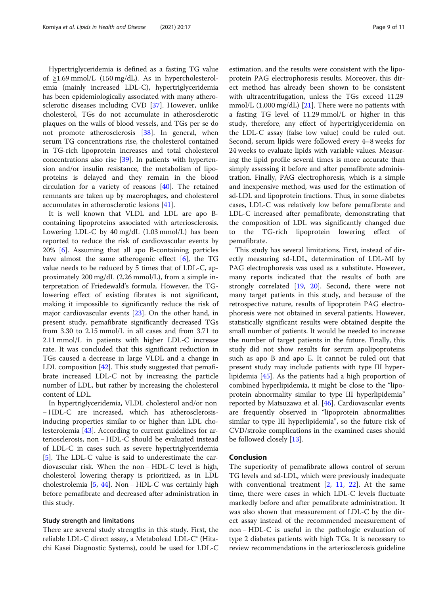Hypertriglyceridemia is defined as a fasting TG value of ≥1.69 mmol/L (150 mg/dL). As in hypercholesterolemia (mainly increased LDL-C), hypertriglyceridemia has been epidemiologically associated with many atherosclerotic diseases including CVD [[37\]](#page-10-0). However, unlike cholesterol, TGs do not accumulate in atherosclerotic plaques on the walls of blood vessels, and TGs per se do not promote atherosclerosis [[38\]](#page-10-0). In general, when serum TG concentrations rise, the cholesterol contained in TG-rich lipoprotein increases and total cholesterol concentrations also rise [[39\]](#page-10-0). In patients with hypertension and/or insulin resistance, the metabolism of lipoproteins is delayed and they remain in the blood circulation for a variety of reasons [[40\]](#page-10-0). The retained remnants are taken up by macrophages, and cholesterol accumulates in atherosclerotic lesions [[41](#page-10-0)].

It is well known that VLDL and LDL are apo Bcontaining lipoproteins associated with arteriosclerosis. Lowering LDL-C by 40 mg/dL (1.03 mmol/L) has been reported to reduce the risk of cardiovascular events by 20% [[6\]](#page-9-0). Assuming that all apo B-containing particles have almost the same atherogenic effect [\[6](#page-9-0)], the TG value needs to be reduced by 5 times that of LDL-C, approximately 200 mg/dL (2.26 mmol/L), from a simple interpretation of Friedewald's formula. However, the TGlowering effect of existing fibrates is not significant, making it impossible to significantly reduce the risk of major cardiovascular events [[23\]](#page-10-0). On the other hand, in present study, pemafibrate significantly decreased TGs from 3.30 to 2.15 mmol/L in all cases and from 3.71 to 2.11 mmol/L in patients with higher LDL-C increase rate. It was concluded that this significant reduction in TGs caused a decrease in large VLDL and a change in LDL composition [\[42](#page-10-0)]. This study suggested that pemafibrate increased LDL-C not by increasing the particle number of LDL, but rather by increasing the cholesterol content of LDL.

In hypertriglyceridemia, VLDL cholesterol and/or non − HDL-C are increased, which has atherosclerosisinducing properties similar to or higher than LDL cholesterolemia [\[43\]](#page-10-0). According to current guidelines for arteriosclerosis, non − HDL-C should be evaluated instead of LDL-C in cases such as severe hypertriglyceridemia [[5\]](#page-9-0). The LDL-C value is said to underestimate the cardiovascular risk. When the non − HDL-C level is high, cholesterol lowering therapy is prioritized, as in LDL cholestrolemia [\[5](#page-9-0), [44\]](#page-10-0). Non − HDL-C was certainly high before pemafibrate and decreased after administration in this study.

## Study strength and limitations

There are several study strengths in this study. First, the reliable LDL-C direct assay, a Metabolead LDL-C® (Hitachi Kasei Diagnostic Systems), could be used for LDL-C

estimation, and the results were consistent with the lipoprotein PAG electrophoresis results. Moreover, this direct method has already been shown to be consistent with ultracentrifugation, unless the TGs exceed 11.29 mmol/L (1,000 mg/dL) [\[21](#page-9-0)]. There were no patients with a fasting TG level of 11.29 mmol/L or higher in this study, therefore, any effect of hypertriglyceridemia on the LDL-C assay (false low value) could be ruled out. Second, serum lipids were followed every 4–8 weeks for 24 weeks to evaluate lipids with variable values. Measuring the lipid profile several times is more accurate than simply assessing it before and after pemafibrate administration. Finally, PAG electrophoresis, which is a simple and inexpensive method, was used for the estimation of sd-LDL and lipoprotein fractions. Thus, in some diabetes cases, LDL-C was relatively low before pemafibrate and LDL-C increased after pemafibrate, demonstrating that the composition of LDL was significantly changed due to the TG-rich lipoprotein lowering effect of pemafibrate.

This study has several limitations. First, instead of directly measuring sd-LDL, determination of LDL-MI by PAG electrophoresis was used as a substitute. However, many reports indicated that the results of both are strongly correlated [\[19](#page-9-0), [20](#page-9-0)]. Second, there were not many target patients in this study, and because of the retrospective nature, results of lipoprotein PAG electrophoresis were not obtained in several patients. However, statistically significant results were obtained despite the small number of patients. It would be needed to increase the number of target patients in the future. Finally, this study did not show results for serum apolipoproteins such as apo B and apo E. It cannot be ruled out that present study may include patients with type III hyperlipidemia [\[45\]](#page-10-0). As the patients had a high proportion of combined hyperlipidemia, it might be close to the "lipoprotein abnormality similar to type III hyperlipidemia" reported by Matsuzawa et al. [[46\]](#page-10-0). Cardiovascular events are frequently observed in "lipoprotein abnormalities similar to type III hyperlipidemia", so the future risk of CVD/stroke complications in the examined cases should be followed closely [\[13\]](#page-9-0).

## Conclusion

The superiority of pemafibrate allows control of serum TG levels and sd-LDL, which were previously inadequate with conventional treatment  $[2, 11, 22]$  $[2, 11, 22]$  $[2, 11, 22]$  $[2, 11, 22]$  $[2, 11, 22]$ . At the same time, there were cases in which LDL-C levels fluctuate markedly before and after pemafibrate administration. It was also shown that measurement of LDL-C by the direct assay instead of the recommended measurement of non − HDL-C is useful in the pathologic evaluation of type 2 diabetes patients with high TGs. It is necessary to review recommendations in the arteriosclerosis guideline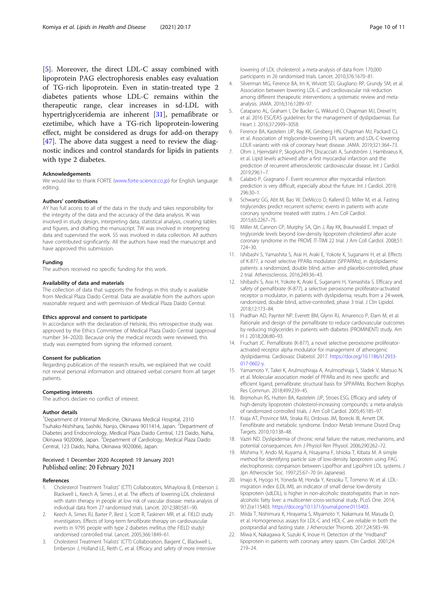<span id="page-9-0"></span>[5]. Moreover, the direct LDL-C assay combined with lipoprotein PAG electrophoresis enables easy evaluation of TG-rich lipoprotein. Even in statin-treated type 2 diabetes patients whose LDL-C remains within the therapeutic range, clear increases in sd-LDL with hypertriglyceridemia are inherent [\[31\]](#page-10-0), pemafibrate or ezetimibe, which have a TG-rich lipoprotein-lowering effect, might be considered as drugs for add-on therapy [[47\]](#page-10-0). The above data suggest a need to review the diagnostic indices and control standards for lipids in patients with type 2 diabetes.

#### Acknowledgements

We would like to thank FORTE ([www.forte-science.co.jp\)](http://www.forte-science.co.jp) for English language editing.

#### Authors' contributions

AY has full access to all of the data in the study and takes responsibility for the integrity of the data and the accuracy of the data analysis. IK was involved in study design, interpreting data, statistical analysis, creating tables and figures, and drafting the manuscript. TW was involved in interpreting data and supervised the work. SS was involved in data collection. All authors have contributed significantly. All the authors have read the manuscript and have approved this submission.

#### Funding

The authors received no specific funding for this work.

#### Availability of data and materials

The collection of data that supports the findings in this study is available from Medical Plaza Daido Central. Data are available from the authors upon reasonable request and with permission of Medical Plaza Daido Central.

#### Ethics approval and consent to participate

In accordance with the declaration of Helsinki, this retrospective study was approved by the Ethics Committee of Medical Plaza Daido Central (approval number 34–2020). Because only the medical records were reviewed, this study was exempted from signing the informed consent.

#### Consent for publication

Regarding publication of the research results, we explained that we could not reveal personal information and obtained verbal consent from all target patients.

#### Competing interests

The authors declare no conflict of interest.

## Author details

<sup>1</sup>Department of Internal Medicine, Okinawa Medical Hospital, 2310 Tsuhako-Nishihara, Sashiki, Nanjo, Okinawa 9011414, Japan. <sup>2</sup>Department of Diabetes and Endocrinology, Medical Plaza Daido Central, 123 Daido, Naha, Okinawa 9020066, Japan. <sup>3</sup> Department of Cardiology, Medical Plaza Daido Central, 123 Daido, Naha, Okinawa 9020066, Japan.

# Received: 1 December 2020 Accepted: 19 January 2021 Published online: 20 February 2021

## References

- Cholesterol Treatment Trialists' (CTT) Collaborators, Mihaylova B, Emberson J, Blackwell L, Keech A, Simes J, et al. The effects of lowering LDL cholesterol with statin therapy in people at low risk of vascular disease: meta-analysis of individual data from 27 randomised trials. Lancet. 2012;380:581–90.
- 2. Keech A, Simes RJ, Barter P, Best J, Scott R, Taskinen MR, et al. FIELD study investigators. Effects of long-term fenofibrate therapy on cardiovascular events in 9795 people with type 2 diabetes mellitus (the FIELD study): randomised controlled trial. Lancet. 2005;366:1849–61.
- 3. Cholesterol Treatment Trialists' (CTT) Collaboration, Baigent C, Blackwell L, Emberson J, Holland LE, Reith C, et al. Efficacy and safety of more intensive

lowering of LDL cholesterol: a meta-analysis of data from 170,000 participants in 26 randomised trials. Lancet. 2010;376:1670–81.

- 4. Silverman MG, Ference BA, Im K, Wiviott SD, Giugliano RP, Grundy SM, et al. Association between lowering LDL-C and cardiovascular risk reduction among different therapeutic interventions: a systematic review and metaanalysis. JAMA. 2016;316:1289–97.
- 5. Catapano AL, Graham I, De Backer G, Wiklund O, Chapman MJ, Drexel H, et al. 2016 ESC/EAS guidelines for the management of dyslipidaemias. Eur Heart J. 2016;37:2999–3058.
- 6. Ference BA, Kastelein JJP, Ray KK, Ginsberg HN, Chapman MJ, Packard CJ, et al. Association of triglyceride-lowering LPL variants and LDL-C-lowering LDLR variants with risk of coronary heart disease. JAMA. 2019;321:364–73.
- 7. Ohm J, Hjemdahl P, Skoglund PH, Discacciati A, Sundström J, Hambraeus K, et al. Lipid levels achieved after a first myocardial infarction and the prediction of recurrent atherosclerotic cardiovascular disease. Int J Cardiol. 2019;296:1–7.
- 8. Calabrò P, Gragnano F. Event recurrence after myocardial infarction: prediction is very difficult, especially about the future. Int J Cardiol. 2019; 296:30–1.
- 9. Schwartz GG, Abt M, Bao W, DeMicco D, Kallend D, Miller M, et al. Fasting triglycerides predict recurrent ischemic events in patients with acute coronary syndrome treated with statins. J Am Coll Cardiol. 2015;65:2267–75.
- 10. Miller M, Cannon CP, Murphy SA, Qin J, Ray KK, Braunwald E. Impact of triglyceride levels beyond low-density lipoprotein cholesterol after acute coronary syndrome in the PROVE IT-TIMI 22 trial. J Am Coll Cardiol. 2008;51: 724–30.
- 11. Ishibashi S, Yamashita S, Arai H, Araki E, Yokote K, Suganami H, et al. Effects of K-877, a novel selective PPARα modulator (SPPARMα), in dyslipidaemic patients: a randomized, double blind, active- and placebo-controlled, phase 2 trial. Atherosclerosis. 2016;249:36–43.
- 12. Ishibashi S, Arai H, Yokote K, Araki E, Suganami H, Yamashita S. Efficacy and safety of pemafibrate (K-877), a selective peroxisome proliferator-activated receptor α modulator, in patients with dyslipidemia; results from a 24-week, randomized, double blind, active-controlled, phase 3 trial. J Clin Lipidol. 2018;12:173–84.
- 13. Pradhan AD, Paynter NP, Everett BM, Glynn RJ, Amarenco P, Elam M, et al. Rationale and design of the pemafibrate to reduce cardiovascular outcomes by reducing triglycerides in patients with diabetes (PROMINENT) study. Am H J. 2018;206:80–93.
- 14. Fruchart JC. Pemafibrate (K-877), a novel selective peroxisome proliferatoractivated receptor alpha modulator for management of atherogenic dyslipidaemia. Cardiovasc Diabetol. 2017. [https://doi.org/10.1186/s12933-](https://doi.org/10.1186/s12933-017-0602-y) [017-0602-y.](https://doi.org/10.1186/s12933-017-0602-y)
- 15. Yamamoto Y, Takei K, Arulmozhiraja A, Arulmozhiraja S, Sladek V, Matsuo N, et al. Molecular association model of PPARα and its new specific and efficient ligand, pemafibrate: structural basis for SPPARMα. Biochem Biophys Res Commun. 2018;499:239–45.
- 16. Birjmohun RS, Hutten BA, Kastelein JJP, Stroes ESG. Efficacy and safety of high-density lipoprotein cholesterol-increasing compounds: a meta-analysis of randomized controlled trials. J Am Coll Cardiol. 2005;45:185–97.
- 17. Kraja AT, Province MA, Straka RJ, Ordovas JM, Borecki IB, Arnett DK. Fenofibrate and metabolic syndrome. Endocr Metab Immune Disord Drug Targets. 2010;10:138–48.
- 18. Vaziri ND. Dyslipidemia of chronic renal failure: the nature, mechanisms, and potential consequences. Am J Physiol Ren Physiol. 2006;290:262–72.
- 19. Mishima Y, Ando M, Kuyama A, Hisayama F, Ishioka T, Kibata M. A simple method for identifying particle size of low-density lipoprotein using PAG electrophoresis: comparison between LipoPhor and LipoPrint LDL systems. J Jpn Atheroscler Soc. 1997;25:67–70 (in Japanese).
- 20. Imajo K, Hyogo H, Yoneda M, Honda Y, Kessoku T, Tomeno W, et al. LDLmigration index (LDL-MI), an indicator of small dense low-density lipoprotein (sdLDL), is higher in non-alcoholic steatohepatitis than in nonalcoholic fatty liver: a multicenter cross-sectional study. PLoS One. 2014; 9(12):e115403. [https://doi.org/10.1371/journal.pone.0115403.](https://doi.org/10.1371/journal.pone.0115403)
- 21. Miida T, Nishimura K, Hirayama S, Miyamoto Y, Nakamura M, Masuda D, et al. Homogeneous assays for LDL-C and HDL-C are reliable in both the postprandial and fasting state. J Atheroscler Thromb. 2017;24:583–99.
- 22. Miwa K, Nakagawa K, Suzuki K, Inoue H. Detection of the "midband" lipoprotein in patients with coronary artery spasm. Clin Cardiol. 2001;24: 219–24.